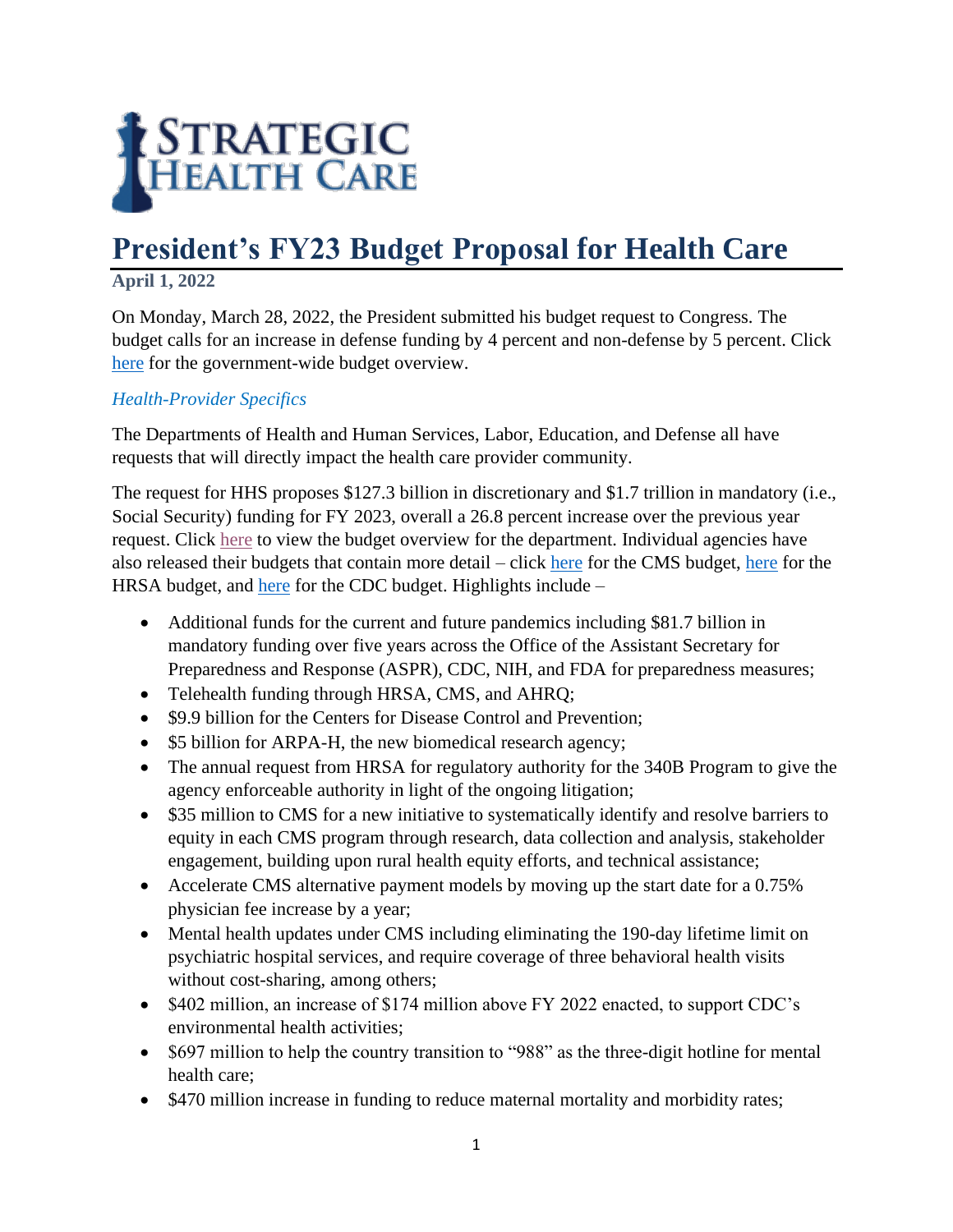

## **President's FY23 Budget Proposal for Health Care**

## **April 1, 2022**

On Monday, March 28, 2022, the President submitted his budget request to Congress. The budget calls for an increase in defense funding by 4 percent and non-defense by 5 percent. Click [here](https://www.whitehouse.gov/wp-content/uploads/2022/03/budget_fy2023.pdf) for the government-wide budget overview.

## *Health-Provider Specifics*

The Departments of Health and Human Services, Labor, Education, and Defense all have requests that will directly impact the health care provider community.

The request for HHS proposes \$127.3 billion in discretionary and \$1.7 trillion in mandatory (i.e., Social Security) funding for FY 2023, overall a 26.8 percent increase over the previous year request. Click [here](https://www.hhs.gov/sites/default/files/fy-2023-budget-in-brief.pdf) to view the budget overview for the department. Individual agencies have also released their budgets that contain more detail – click [here](https://www.cms.gov/files/document/fy2023-cms-congressional-justification-estimates-appropriations-committees.pdf) for the CMS budget, [here](https://www.hrsa.gov/sites/default/files/hrsa/about/budget/budget-justification-fy2023.pdf) for the HRSA budget, and [here](https://www.cdc.gov/budget/fy2023/congressional-justification.html) for the CDC budget. Highlights include –

- Additional funds for the current and future pandemics including \$81.7 billion in mandatory funding over five years across the Office of the Assistant Secretary for Preparedness and Response (ASPR), CDC, NIH, and FDA for preparedness measures;
- Telehealth funding through HRSA, CMS, and AHRQ;
- \$9.9 billion for the Centers for Disease Control and Prevention;
- \$5 billion for ARPA-H, the new biomedical research agency;
- The annual request from HRSA for regulatory authority for the 340B Program to give the agency enforceable authority in light of the ongoing litigation;
- \$35 million to CMS for a new initiative to systematically identify and resolve barriers to equity in each CMS program through research, data collection and analysis, stakeholder engagement, building upon rural health equity efforts, and technical assistance;
- Accelerate CMS alternative payment models by moving up the start date for a 0.75% physician fee increase by a year;
- Mental health updates under CMS including eliminating the 190-day lifetime limit on psychiatric hospital services, and require coverage of three behavioral health visits without cost-sharing, among others;
- \$402 million, an increase of \$174 million above FY 2022 enacted, to support CDC's environmental health activities;
- \$697 million to help the country transition to "988" as the three-digit hotline for mental health care;
- \$470 million increase in funding to reduce maternal mortality and morbidity rates;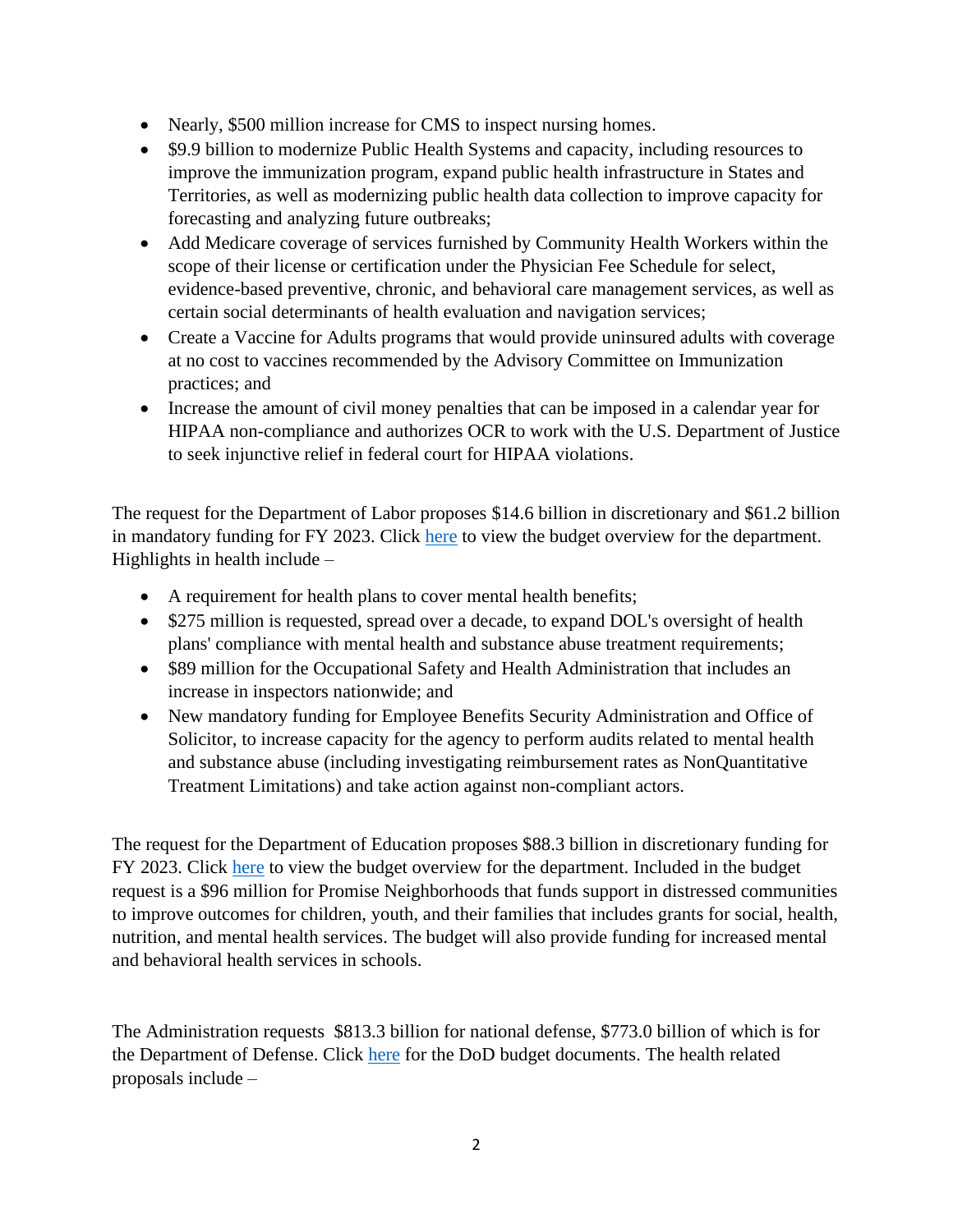- Nearly, \$500 million increase for CMS to inspect nursing homes.
- \$9.9 billion to modernize Public Health Systems and capacity, including resources to improve the immunization program, expand public health infrastructure in States and Territories, as well as modernizing public health data collection to improve capacity for forecasting and analyzing future outbreaks;
- Add Medicare coverage of services furnished by Community Health Workers within the scope of their license or certification under the Physician Fee Schedule for select, evidence-based preventive, chronic, and behavioral care management services, as well as certain social determinants of health evaluation and navigation services;
- Create a Vaccine for Adults programs that would provide uninsured adults with coverage at no cost to vaccines recommended by the Advisory Committee on Immunization practices; and
- Increase the amount of civil money penalties that can be imposed in a calendar year for HIPAA non-compliance and authorizes OCR to work with the U.S. Department of Justice to seek injunctive relief in federal court for HIPAA violations.

The request for the Department of Labor proposes \$14.6 billion in discretionary and \$61.2 billion in mandatory funding for FY 2023. Click [here](https://www.dol.gov/sites/dolgov/files/general/budget/2023/FY2023BIB.pdf) to view the budget overview for the department. Highlights in health include –

- A requirement for health plans to cover mental health benefits;
- \$275 million is requested, spread over a decade, to expand DOL's oversight of health plans' compliance with mental health and substance abuse treatment requirements;
- \$89 million for the Occupational Safety and Health Administration that includes an increase in inspectors nationwide; and
- New mandatory funding for Employee Benefits Security Administration and Office of Solicitor, to increase capacity for the agency to perform audits related to mental health and substance abuse (including investigating reimbursement rates as NonQuantitative Treatment Limitations) and take action against non-compliant actors.

The request for the Department of Education proposes \$88.3 billion in discretionary funding for FY 2023. Click [here](https://www2.ed.gov/about/overview/budget/budget23/summary/23summary.pdf) to view the budget overview for the department. Included in the budget request is a \$96 million for Promise Neighborhoods that funds support in distressed communities to improve outcomes for children, youth, and their families that includes grants for social, health, nutrition, and mental health services. The budget will also provide funding for increased mental and behavioral health services in schools.

The Administration requests \$813.3 billion for national defense, \$773.0 billion of which is for the Department of Defense. Click [here](https://comptroller.defense.gov/Budget-Materials/) for the DoD budget documents. The health related proposals include –